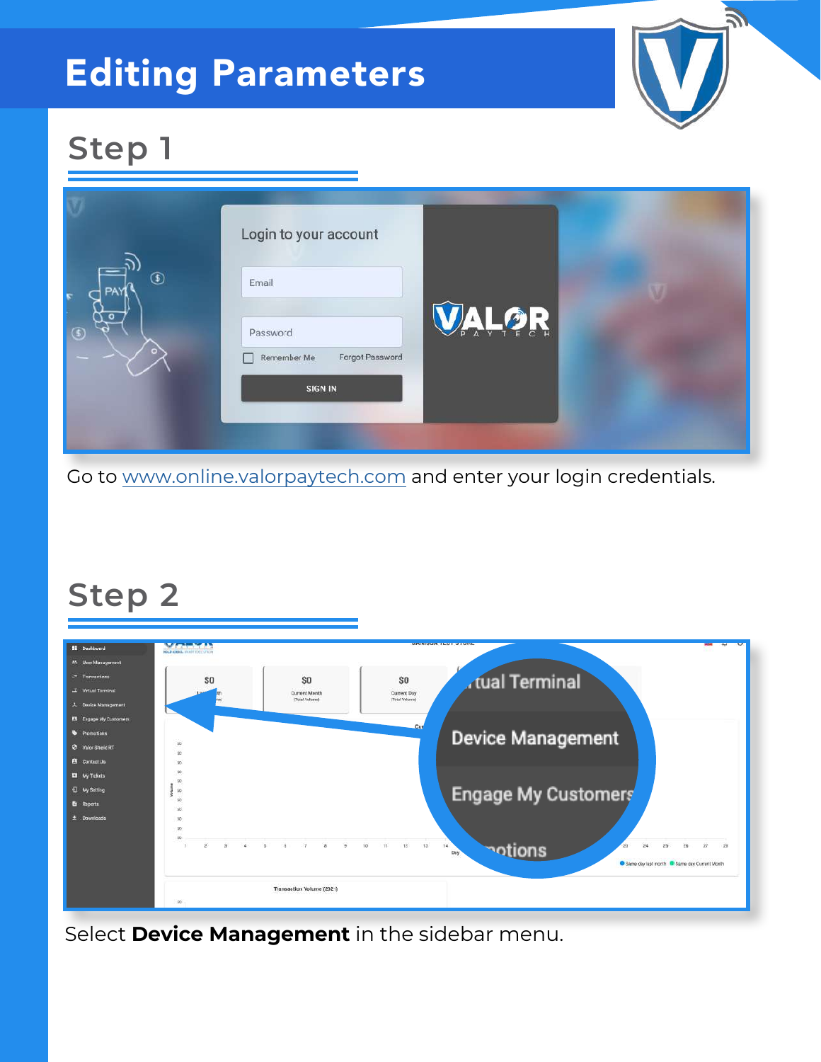# Editing Parameters



### **Step 1**

|                            | Login to your account                                                 |      |  |
|----------------------------|-----------------------------------------------------------------------|------|--|
| $^{\circledR}$<br>$\Omega$ | Email<br>Password<br>Forgot Password<br>Remember Me<br><b>SIGN IN</b> | ALOR |  |

Go to [www.online.valorpaytech.com](https://online.valorpaytech.com/signin) and enter your login credentials.

#### **Step 2**



Select **Device Management** in the sidebar menu.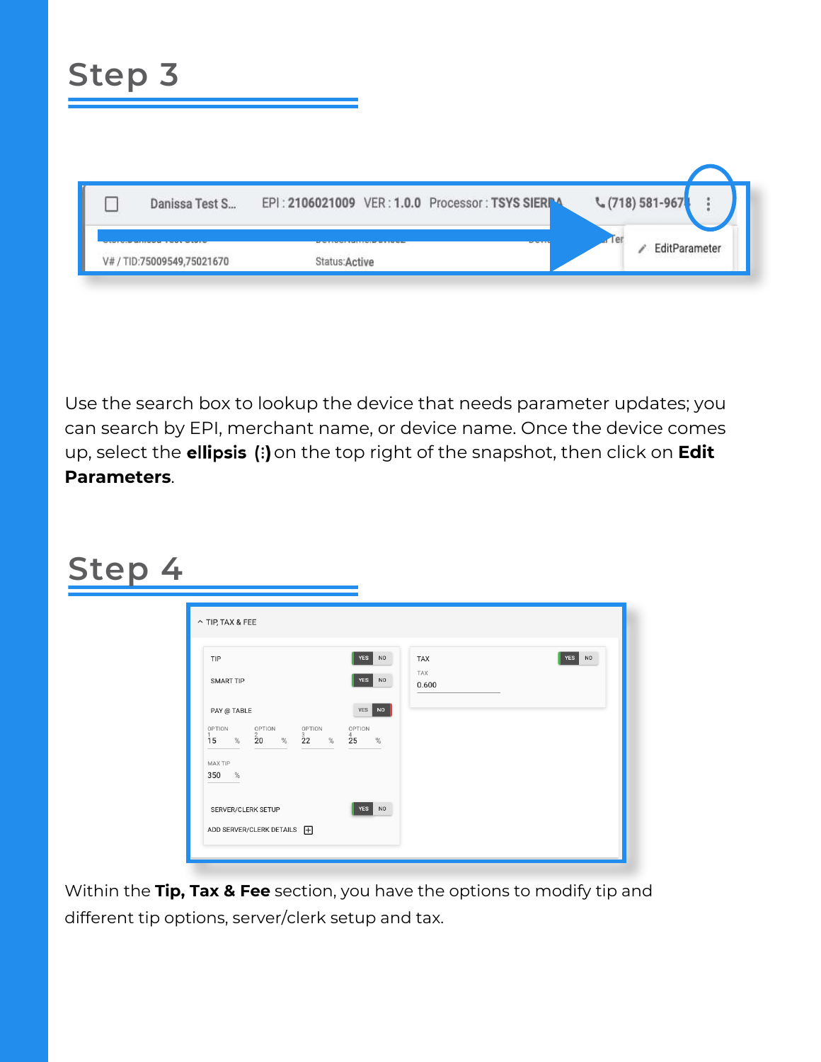| <b>Step 3</b>              |                                                   |  |                        |               |
|----------------------------|---------------------------------------------------|--|------------------------|---------------|
| Danissa Test S             | EPI: 2106021009 VER: 1.0.0 Processor: TSYS SIERPA |  | ₹ (718) 581-967        |               |
| V# / TID:75009549,75021670 | Status: Active                                    |  | $\blacksquare$ er<br>₽ | EditParameter |

Use the search box to lookup the device that needs parameter updates; you can search by EPI, merchant name, or device name. Once the device comes up, select the **ellipsis (:)** on the top right of the snapshot, then click on **Edit Parameters**.

## **Step 4**

Within the **Tip, Tax & Fee** section, you have the options to modify tip and different tip options, server/clerk setup and tax.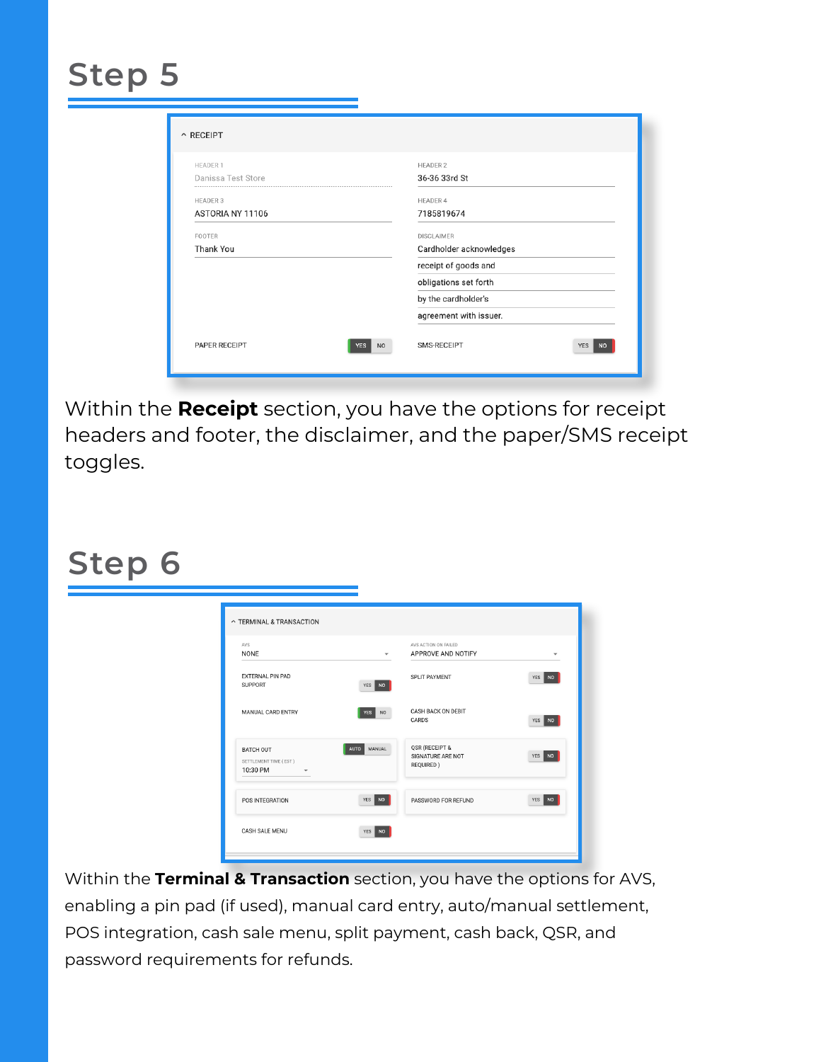### **Step 5**

| <b>HEADER 1</b>    | <b>HEADER 2</b>         |
|--------------------|-------------------------|
| Danissa Test Store | 36-36 33rd St           |
| <b>HEADER 3</b>    | <b>HEADER 4</b>         |
| ASTORIA NY 11106   | 7185819674              |
| FOOTER             | <b>DISCLAIMER</b>       |
| Thank You          | Cardholder acknowledges |
|                    | receipt of goods and    |
|                    | obligations set forth   |
|                    | by the cardholder's     |
|                    | agreement with issuer.  |
|                    |                         |

Within the **Receipt** section, you have the options for receipt headers and footer, the disclaimer, and the paper/SMS receipt toggles.

#### **Step 6**

| AVS<br><b>NONE</b>                                             | $\overline{\phantom{a}}$ | AVS ACTION ON FAILED<br>APPROVE AND NOTIFY       |        |
|----------------------------------------------------------------|--------------------------|--------------------------------------------------|--------|
| <b>EXTERNAL PIN PAD</b><br><b>SUPPORT</b>                      | YES NO                   | <b>SPLIT PAYMENT</b>                             | YES NO |
| MANUAL CARD ENTRY                                              | YES NO                   | <b>CASH BACK ON DEBIT</b><br>CARDS               | YES NO |
| BATCH OUT<br>SETTLEMENT TIME (EST)<br>10:30 PM<br>$\mathbf{v}$ | AUTO MANUAL              | QSR (RECEIPT &<br>SIGNATURE ARE NOT<br>REQUIRED) | YES NO |
| POS INTEGRATION                                                | YES NO                   | PASSWORD FOR REFUND                              | YES NO |

Within the **Terminal & Transaction** section, you have the options for AVS, enabling a pin pad (if used), manual card entry, auto/manual settlement, POS integration, cash sale menu, split payment, cash back, QSR, and password requirements for refunds.